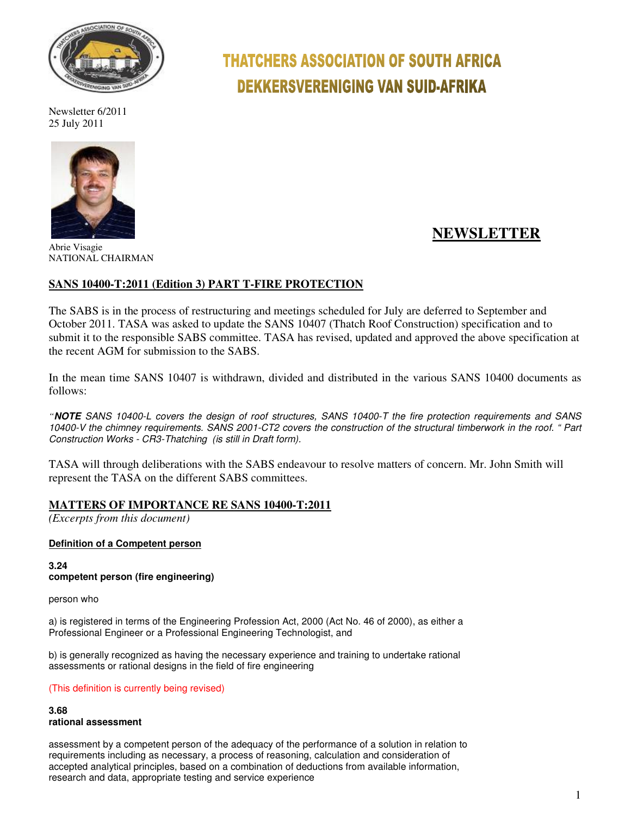

Newsletter 6/2011 25 July 2011



Abrie Visagie NATIONAL CHAIRMAN

# **THATCHERS ASSOCIATION OF SOUTH AFRICA DEKKERSVERENIGING VAN SUID-AFRIKA**

# **NEWSLETTER**

# **SANS 10400-T:2011 (Edition 3) PART T-FIRE PROTECTION**

The SABS is in the process of restructuring and meetings scheduled for July are deferred to September and October 2011. TASA was asked to update the SANS 10407 (Thatch Roof Construction) specification and to submit it to the responsible SABS committee. TASA has revised, updated and approved the above specification at the recent AGM for submission to the SABS.

In the mean time SANS 10407 is withdrawn, divided and distributed in the various SANS 10400 documents as follows:

*"***NOTE** SANS 10400-L covers the design of roof structures, SANS 10400-T the fire protection requirements and SANS 10400-V the chimney requirements. SANS 2001-CT2 covers the construction of the structural timberwork in the roof. " Part Construction Works - CR3-Thatching (is still in Draft form).

TASA will through deliberations with the SABS endeavour to resolve matters of concern. Mr. John Smith will represent the TASA on the different SABS committees.

#### **MATTERS OF IMPORTANCE RE SANS 10400-T:2011**

*(Excerpts from this document)* 

#### **Definition of a Competent person**

**3.24 competent person (fire engineering)** 

person who

a) is registered in terms of the Engineering Profession Act, 2000 (Act No. 46 of 2000), as either a Professional Engineer or a Professional Engineering Technologist, and

b) is generally recognized as having the necessary experience and training to undertake rational assessments or rational designs in the field of fire engineering

(This definition is currently being revised)

#### **3.68**

#### **rational assessment**

assessment by a competent person of the adequacy of the performance of a solution in relation to requirements including as necessary, a process of reasoning, calculation and consideration of accepted analytical principles, based on a combination of deductions from available information, research and data, appropriate testing and service experience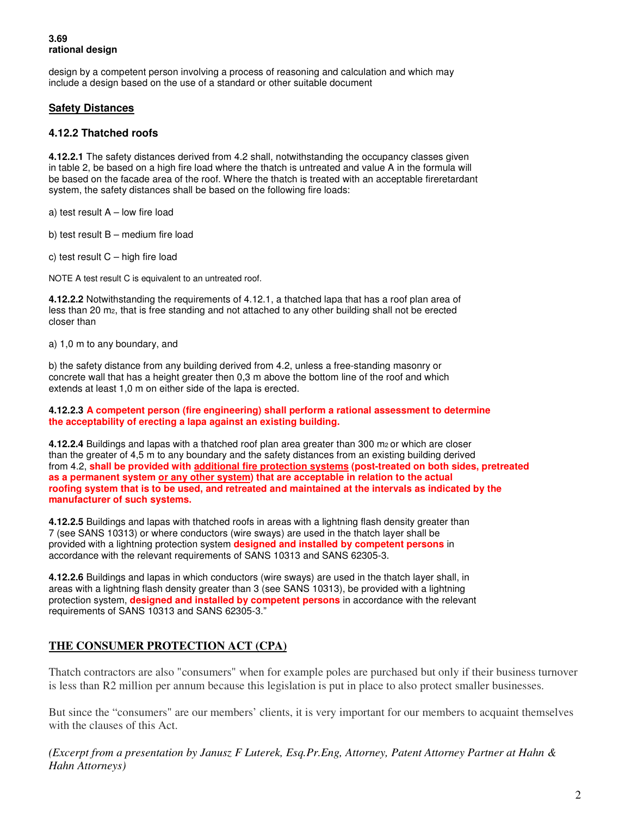#### **3.69 rational design**

design by a competent person involving a process of reasoning and calculation and which may include a design based on the use of a standard or other suitable document

#### **Safety Distances**

#### **4.12.2 Thatched roofs**

**4.12.2.1** The safety distances derived from 4.2 shall, notwithstanding the occupancy classes given in table 2, be based on a high fire load where the thatch is untreated and value A in the formula will be based on the facade area of the roof. Where the thatch is treated with an acceptable fireretardant system, the safety distances shall be based on the following fire loads:

a) test result A – low fire load

b) test result B – medium fire load

c) test result  $C - h$ igh fire load

NOTE A test result C is equivalent to an untreated roof.

**4.12.2.2** Notwithstanding the requirements of 4.12.1, a thatched lapa that has a roof plan area of less than 20 m2, that is free standing and not attached to any other building shall not be erected closer than

a) 1,0 m to any boundary, and

b) the safety distance from any building derived from 4.2, unless a free-standing masonry or concrete wall that has a height greater then 0,3 m above the bottom line of the roof and which extends at least 1,0 m on either side of the lapa is erected.

#### **4.12.2.3 A competent person (fire engineering) shall perform a rational assessment to determine the acceptability of erecting a lapa against an existing building.**

**4.12.2.4** Buildings and lapas with a thatched roof plan area greater than 300 m2 or which are closer than the greater of 4,5 m to any boundary and the safety distances from an existing building derived from 4.2, **shall be provided with additional fire protection systems (post-treated on both sides, pretreated as a permanent system or any other system) that are acceptable in relation to the actual roofing system that is to be used, and retreated and maintained at the intervals as indicated by the manufacturer of such systems.** 

**4.12.2.5** Buildings and lapas with thatched roofs in areas with a lightning flash density greater than 7 (see SANS 10313) or where conductors (wire sways) are used in the thatch layer shall be provided with a lightning protection system **designed and installed by competent persons** in accordance with the relevant requirements of SANS 10313 and SANS 62305-3.

**4.12.2.6** Buildings and lapas in which conductors (wire sways) are used in the thatch layer shall, in areas with a lightning flash density greater than 3 (see SANS 10313), be provided with a lightning protection system, **designed and installed by competent persons** in accordance with the relevant requirements of SANS 10313 and SANS 62305-3."

# **THE CONSUMER PROTECTION ACT (CPA)**

Thatch contractors are also "consumers" when for example poles are purchased but only if their business turnover is less than R2 million per annum because this legislation is put in place to also protect smaller businesses.

But since the "consumers" are our members' clients, it is very important for our members to acquaint themselves with the clauses of this Act.

*(Excerpt from a presentation by Janusz F Luterek, Esq.Pr.Eng, Attorney, Patent Attorney Partner at Hahn & Hahn Attorneys)*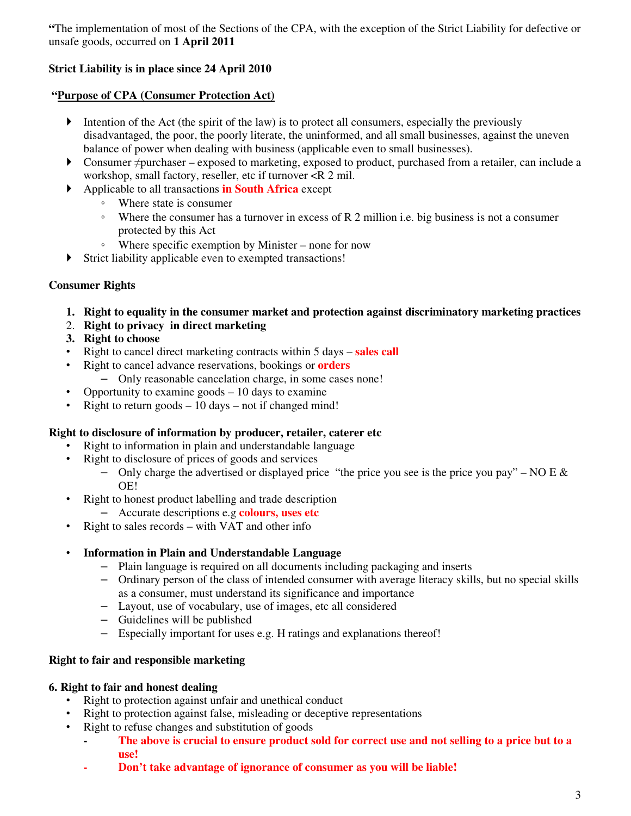**"**The implementation of most of the Sections of the CPA, with the exception of the Strict Liability for defective or unsafe goods, occurred on **1 April 2011** 

# **Strict Liability is in place since 24 April 2010**

# **"Purpose of CPA (Consumer Protection Act)**

- Intention of the Act (the spirit of the law) is to protect all consumers, especially the previously disadvantaged, the poor, the poorly literate, the uninformed, and all small businesses, against the uneven balance of power when dealing with business (applicable even to small businesses).
- Consumer ≠purchaser exposed to marketing, exposed to product, purchased from a retailer, can include a workshop, small factory, reseller, etc if turnover <R 2 mil.
- Applicable to all transactions **in South Africa** except
	- Where state is consumer
	- Where the consumer has a turnover in excess of R 2 million i.e. big business is not a consumer protected by this Act
	- Where specific exemption by Minister none for now
- Strict liability applicable even to exempted transactions!

# **Consumer Rights**

- **1. Right to equality in the consumer market and protection against discriminatory marketing practices**
- 2. **Right to privacy in direct marketing**
- **3. Right to choose**
- Right to cancel direct marketing contracts within 5 days **sales call**
- Right to cancel advance reservations, bookings or **orders**
	- Only reasonable cancelation charge, in some cases none!
- Opportunity to examine goods  $-10$  days to examine
- Right to return goods  $-10$  days  $-$  not if changed mind!

#### **Right to disclosure of information by producer, retailer, caterer etc**

- Right to information in plain and understandable language
- Right to disclosure of prices of goods and services
	- Only charge the advertised or displayed price "the price you see is the price you pay" NO E  $\&$ OE!
- Right to honest product labelling and trade description
	- Accurate descriptions e.g **colours, uses etc**
- Right to sales records with VAT and other info
- **Information in Plain and Understandable Language** 
	- Plain language is required on all documents including packaging and inserts
	- Ordinary person of the class of intended consumer with average literacy skills, but no special skills as a consumer, must understand its significance and importance
	- Layout, use of vocabulary, use of images, etc all considered
	- Guidelines will be published
	- Especially important for uses e.g. H ratings and explanations thereof!

#### **Right to fair and responsible marketing**

#### **6. Right to fair and honest dealing**

- Right to protection against unfair and unethical conduct
- Right to protection against false, misleading or deceptive representations
- Right to refuse changes and substitution of goods
	- **The above is crucial to ensure product sold for correct use and not selling to a price but to a use!**
	- **Don't take advantage of ignorance of consumer as you will be liable!**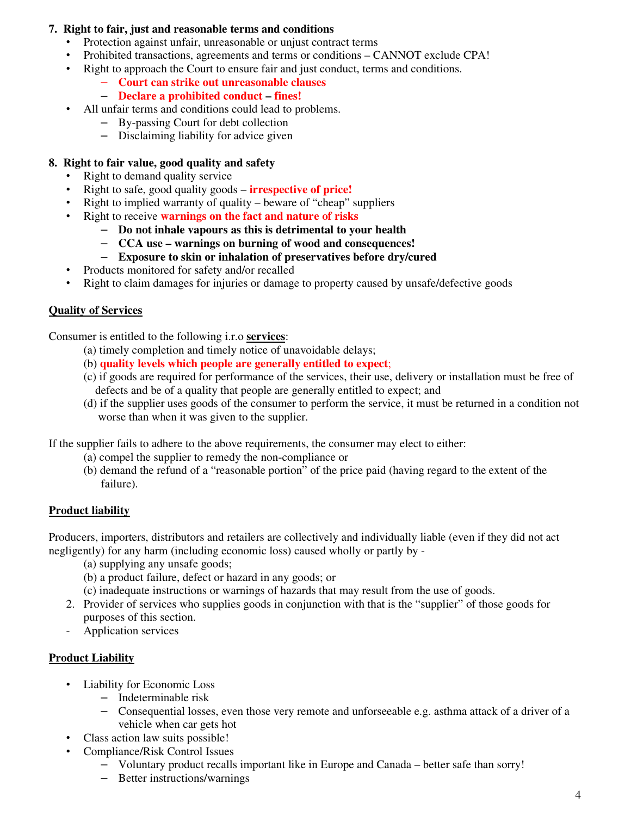### **7. Right to fair, just and reasonable terms and conditions**

- Protection against unfair, unreasonable or unjust contract terms
- Prohibited transactions, agreements and terms or conditions CANNOT exclude CPA!
- Right to approach the Court to ensure fair and just conduct, terms and conditions.

#### – **Court can strike out unreasonable clauses**

- **Declare a prohibited conduct fines!**
- All unfair terms and conditions could lead to problems.
	- By-passing Court for debt collection
	- Disclaiming liability for advice given

### **8. Right to fair value, good quality and safety**

- Right to demand quality service
- Right to safe, good quality goods **irrespective of price!**
- Right to implied warranty of quality beware of "cheap" suppliers
- Right to receive **warnings on the fact and nature of risks**
	- **Do not inhale vapours as this is detrimental to your health**
	- **CCA use warnings on burning of wood and consequences!**
	- **Exposure to skin or inhalation of preservatives before dry/cured**
- Products monitored for safety and/or recalled
- Right to claim damages for injuries or damage to property caused by unsafe/defective goods

# **Quality of Services**

Consumer is entitled to the following i.r.o **services**:

- (a) timely completion and timely notice of unavoidable delays;
- (b) **quality levels which people are generally entitled to expect**;
- (c) if goods are required for performance of the services, their use, delivery or installation must be free of defects and be of a quality that people are generally entitled to expect; and
- (d) if the supplier uses goods of the consumer to perform the service, it must be returned in a condition not worse than when it was given to the supplier.

If the supplier fails to adhere to the above requirements, the consumer may elect to either:

- (a) compel the supplier to remedy the non-compliance or
- (b) demand the refund of a "reasonable portion" of the price paid (having regard to the extent of the failure).

#### **Product liability**

Producers, importers, distributors and retailers are collectively and individually liable (even if they did not act negligently) for any harm (including economic loss) caused wholly or partly by -

- (a) supplying any unsafe goods;
- (b) a product failure, defect or hazard in any goods; or
- (c) inadequate instructions or warnings of hazards that may result from the use of goods.
- 2. Provider of services who supplies goods in conjunction with that is the "supplier" of those goods for purposes of this section.
- Application services

# **Product Liability**

- Liability for Economic Loss
	- Indeterminable risk
	- Consequential losses, even those very remote and unforseeable e.g. asthma attack of a driver of a vehicle when car gets hot
- Class action law suits possible!
- Compliance/Risk Control Issues
	- Voluntary product recalls important like in Europe and Canada better safe than sorry!
	- Better instructions/warnings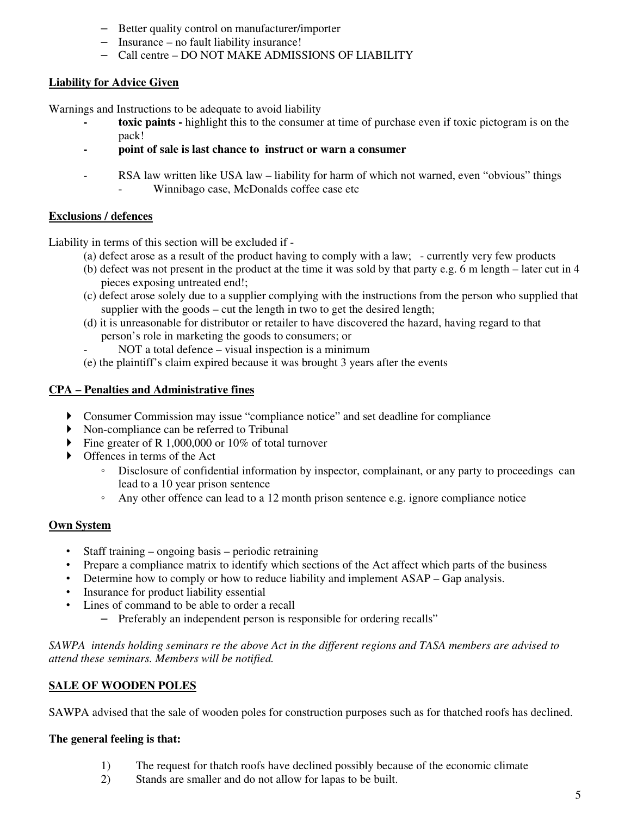- Better quality control on manufacturer/importer
- Insurance no fault liability insurance!
- Call centre DO NOT MAKE ADMISSIONS OF LIABILITY

# **Liability for Advice Given**

Warnings and Instructions to be adequate to avoid liability

- **toxic paints** highlight this to the consumer at time of purchase even if toxic pictogram is on the pack!
- point of sale is last chance to instruct or warn a consumer
- RSA law written like USA law liability for harm of which not warned, even "obvious" things Winnibago case, McDonalds coffee case etc

#### **Exclusions / defences**

Liability in terms of this section will be excluded if -

- (a) defect arose as a result of the product having to comply with a law; currently very few products
- (b) defect was not present in the product at the time it was sold by that party e.g. 6 m length later cut in 4 pieces exposing untreated end!;
- (c) defect arose solely due to a supplier complying with the instructions from the person who supplied that supplier with the goods – cut the length in two to get the desired length;
- (d) it is unreasonable for distributor or retailer to have discovered the hazard, having regard to that person's role in marketing the goods to consumers; or
	- NOT a total defence visual inspection is a minimum
- (e) the plaintiff's claim expired because it was brought 3 years after the events

#### **CPA – Penalties and Administrative fines**

- Consumer Commission may issue "compliance notice" and set deadline for compliance
- Non-compliance can be referred to Tribunal
- Fine greater of R 1,000,000 or 10% of total turnover
- $\triangleright$  Offences in terms of the Act
	- Disclosure of confidential information by inspector, complainant, or any party to proceedings can lead to a 10 year prison sentence
	- Any other offence can lead to a 12 month prison sentence e.g. ignore compliance notice

#### **Own System**

- Staff training ongoing basis periodic retraining
- Prepare a compliance matrix to identify which sections of the Act affect which parts of the business
- Determine how to comply or how to reduce liability and implement ASAP Gap analysis.
- Insurance for product liability essential
- Lines of command to be able to order a recall
	- Preferably an independent person is responsible for ordering recalls"

*SAWPA intends holding seminars re the above Act in the different regions and TASA members are advised to attend these seminars. Members will be notified.* 

#### **SALE OF WOODEN POLES**

SAWPA advised that the sale of wooden poles for construction purposes such as for thatched roofs has declined.

#### **The general feeling is that:**

- 1) The request for thatch roofs have declined possibly because of the economic climate
- 2) Stands are smaller and do not allow for lapas to be built.